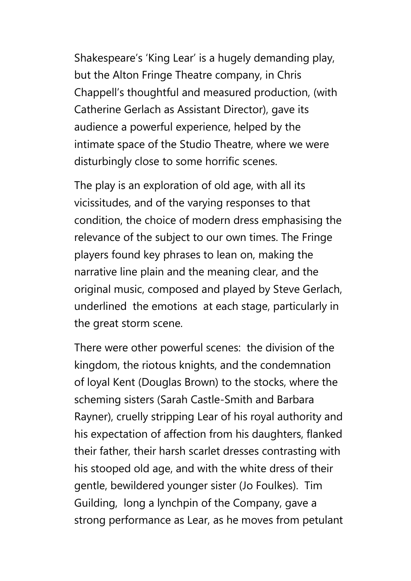Shakespeare's 'King Lear' is a hugely demanding play, but the Alton Fringe Theatre company, in Chris Chappell's thoughtful and measured production, (with Catherine Gerlach as Assistant Director), gave its audience a powerful experience, helped by the intimate space of the Studio Theatre, where we were disturbingly close to some horrific scenes.

The play is an exploration of old age, with all its vicissitudes, and of the varying responses to that condition, the choice of modern dress emphasising the relevance of the subject to our own times. The Fringe players found key phrases to lean on, making the narrative line plain and the meaning clear, and the original music, composed and played by Steve Gerlach, underlined the emotions at each stage, particularly in the great storm scene.

There were other powerful scenes: the division of the kingdom, the riotous knights, and the condemnation of loyal Kent (Douglas Brown) to the stocks, where the scheming sisters (Sarah Castle-Smith and Barbara Rayner), cruelly stripping Lear of his royal authority and his expectation of affection from his daughters, flanked their father, their harsh scarlet dresses contrasting with his stooped old age, and with the white dress of their gentle, bewildered younger sister (Jo Foulkes). Tim Guilding, long a lynchpin of the Company, gave a strong performance as Lear, as he moves from petulant